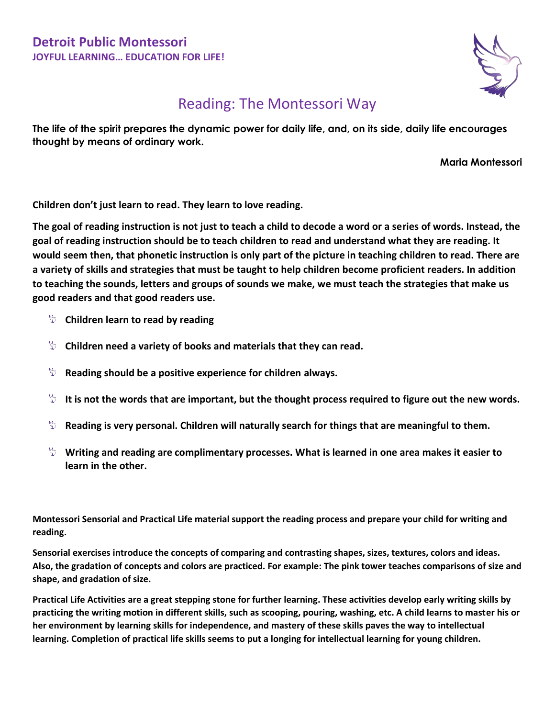

## Reading: The Montessori Way

**The life of the spirit prepares the dynamic power for daily life, and, on its side, daily life encourages thought by means of ordinary work.** 

**Maria Montessori**

**Children don't just learn to read. They learn to love reading.**

**The goal of reading instruction is not just to teach a child to decode a word or a series of words. Instead, the goal of reading instruction should be to teach children to read and understand what they are reading. It would seem then, that phonetic instruction is only part of the picture in teaching children to read. There are a variety of skills and strategies that must be taught to help children become proficient readers. In addition to teaching the sounds, letters and groups of sounds we make, we must teach the strategies that make us good readers and that good readers use.**

- **Children learn to read by reading**
- **Children need a variety of books and materials that they can read.**
- **EXED BY ADDED SHOULD SHOULD BY A positive experience for children always.**
- It is not the words that are important, but the thought process required to figure out the new words.
- **Reading is very personal. Children will naturally search for things that are meaningful to them.**
- **Writing and reading are complimentary processes. What is learned in one area makes it easier to learn in the other.**

**Montessori Sensorial and Practical Life material support the reading process and prepare your child for writing and reading.**

**Sensorial exercises introduce the concepts of comparing and contrasting shapes, sizes, textures, colors and ideas. Also, the gradation of concepts and colors are practiced. For example: The pink tower teaches comparisons of size and shape, and gradation of size.**

**Practical Life Activities are a great stepping stone for further learning. These activities develop early writing skills by practicing the writing motion in different skills, such as scooping, pouring, washing, etc. A child learns to master his or her environment by learning skills for independence, and mastery of these skills paves the way to intellectual learning. Completion of practical life skills seems to put a longing for intellectual learning for young children.**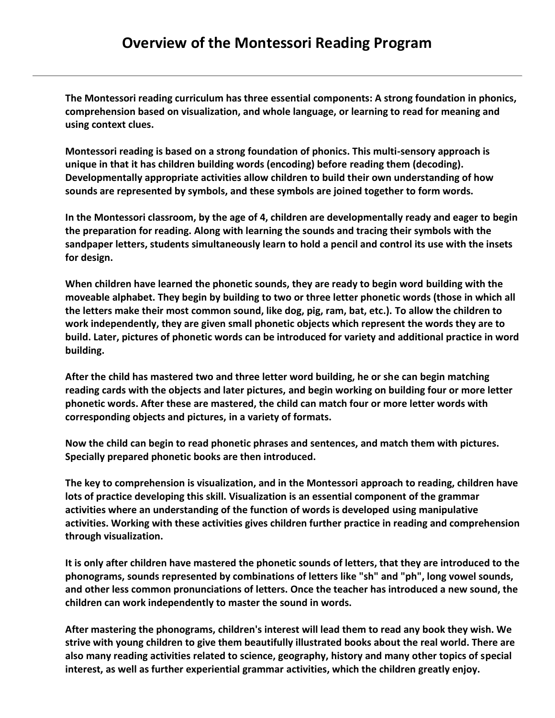**The Montessori reading curriculum has three essential components: A strong foundation in phonics, comprehension based on visualization, and whole language, or learning to read for meaning and using context clues.** 

**Montessori reading is based on a strong foundation of phonics. This multi-sensory approach is unique in that it has children building words (encoding) before reading them (decoding). Developmentally appropriate activities allow children to build their own understanding of how sounds are represented by symbols, and these symbols are joined together to form words.** 

**In the Montessori classroom, by the age of 4, children are developmentally ready and eager to begin the preparation for reading. Along with learning the sounds and tracing their symbols with the sandpaper letters, students simultaneously learn to hold a pencil and control its use with the insets for design.** 

**When children have learned the phonetic sounds, they are ready to begin word building with the moveable alphabet. They begin by building to two or three letter phonetic words (those in which all the letters make their most common sound, like dog, pig, ram, bat, etc.). To allow the children to work independently, they are given small phonetic objects which represent the words they are to build. Later, pictures of phonetic words can be introduced for variety and additional practice in word building.** 

**After the child has mastered two and three letter word building, he or she can begin matching reading cards with the objects and later pictures, and begin working on building four or more letter phonetic words. After these are mastered, the child can match four or more letter words with corresponding objects and pictures, in a variety of formats.** 

**Now the child can begin to read phonetic phrases and sentences, and match them with pictures. Specially prepared phonetic books are then introduced.** 

**The key to comprehension is visualization, and in the Montessori approach to reading, children have lots of practice developing this skill. Visualization is an essential component of the grammar activities where an understanding of the function of words is developed using manipulative activities. Working with these activities gives children further practice in reading and comprehension through visualization.** 

**It is only after children have mastered the phonetic sounds of letters, that they are introduced to the phonograms, sounds represented by combinations of letters like "sh" and "ph", long vowel sounds, and other less common pronunciations of letters. Once the teacher has introduced a new sound, the children can work independently to master the sound in words.**

**After mastering the phonograms, children's interest will lead them to read any book they wish. We strive with young children to give them beautifully illustrated books about the real world. There are also many reading activities related to science, geography, history and many other topics of special interest, as well as further experiential grammar activities, which the children greatly enjoy.**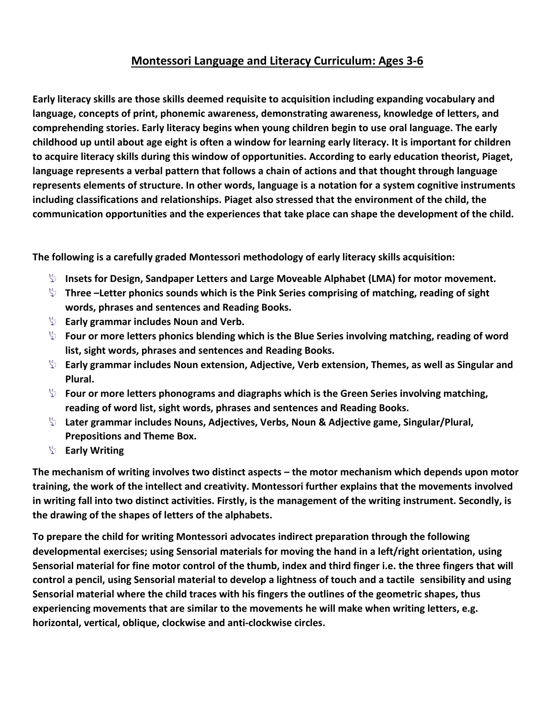## **Montessori Language and Literacy Curriculum: Ages 3-6**

**Early literacy skills are those skills deemed requisite to acquisition including expanding vocabulary and language, concepts of print, phonemic awareness, demonstrating awareness, knowledge of letters, and comprehending stories. Early literacy begins when young children begin to use oral language. The early childhood up until about age eight is often a window for learning early literacy. It is important for children to acquire literacy skills during this window of opportunities. According to early education theorist, Piaget, language represents a verbal pattern that follows a chain of actions and that thought through language represents elements of structure. In other words, language is a notation for a system cognitive instruments including classifications and relationships. Piaget also stressed that the environment of the child, the communication opportunities and the experiences that take place can shape the development of the child.**

**The following is a carefully graded Montessori methodology of early literacy skills acquisition:**

- **Insets for Design, Sandpaper Letters and Large Moveable Alphabet (LMA) for motor movement.**
- **Three –Letter phonics sounds which is the Pink Series comprising of matching, reading of sight words, phrases and sentences and Reading Books.**
- **Early grammar includes Noun and Verb.**
- **Four or more letters phonics blending which is the Blue Series involving matching, reading of word list, sight words, phrases and sentences and Reading Books.**
- **Early grammar includes Noun extension, Adjective, Verb extension, Themes, as well as Singular and Plural.**
- **Four or more letters phonograms and diagraphs which is the Green Series involving matching, reading of word list, sight words, phrases and sentences and Reading Books.**
- **Later grammar includes Nouns, Adjectives, Verbs, Noun & Adjective game, Singular/Plural, Prepositions and Theme Box.**
- **Early Writing**

**The mechanism of writing involves two distinct aspects – the motor mechanism which depends upon motor training, the work of the intellect and creativity. Montessori further explains that the movements involved in writing fall into two distinct activities. Firstly, is the management of the writing instrument. Secondly, is the drawing of the shapes of letters of the alphabets.**

**To prepare the child for writing Montessori advocates indirect preparation through the following developmental exercises; using Sensorial materials for moving the hand in a left/right orientation, using Sensorial material for fine motor control of the thumb, index and third finger i.e. the three fingers that will control a pencil, using Sensorial material to develop a lightness of touch and a tactile sensibility and using Sensorial material where the child traces with his fingers the outlines of the geometric shapes, thus experiencing movements that are similar to the movements he will make when writing letters, e.g. horizontal, vertical, oblique, clockwise and anti-clockwise circles.**